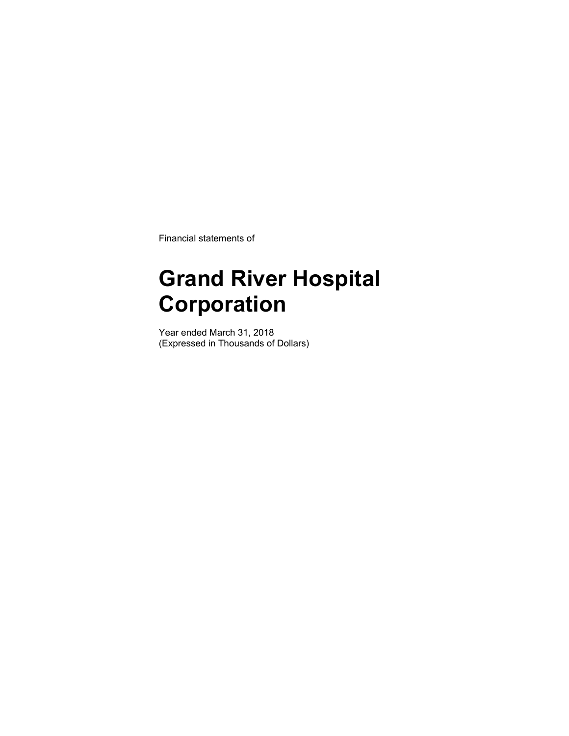Financial statements of

## **Grand River Hospital Corporation**

Year ended March 31, 2018 (Expressed in Thousands of Dollars)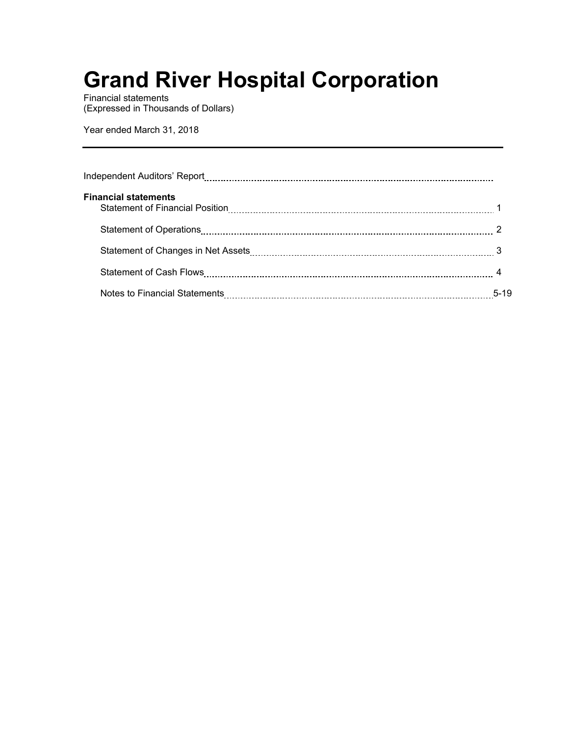Financial statements (Expressed in Thousands of Dollars)

Year ended March 31, 2018

| <b>Financial statements</b>                                                                            |        |
|--------------------------------------------------------------------------------------------------------|--------|
|                                                                                                        |        |
| Statement of Changes in Net Assets [11, 2010] Stateman and Statement of Changes in Net Assets [2010] 3 |        |
|                                                                                                        |        |
|                                                                                                        | $5-19$ |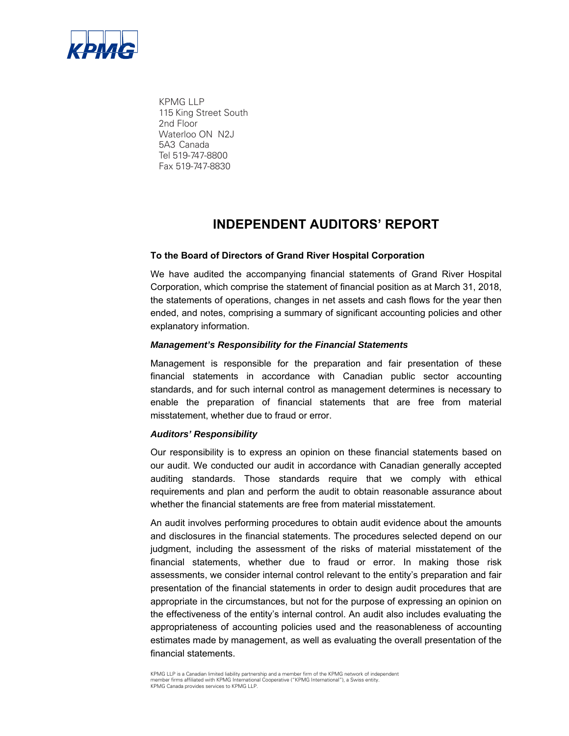

KPMG LLP 115 King Street South 2nd Floor Waterloo ON N2J 5A3 Canada Tel 519-747-8800 Fax 519-747-8830

## **INDEPENDENT AUDITORS' REPORT**

### **To the Board of Directors of Grand River Hospital Corporation**

We have audited the accompanying financial statements of Grand River Hospital Corporation, which comprise the statement of financial position as at March 31, 2018, the statements of operations, changes in net assets and cash flows for the year then ended, and notes, comprising a summary of significant accounting policies and other explanatory information.

#### *Management's Responsibility for the Financial Statements*

Management is responsible for the preparation and fair presentation of these financial statements in accordance with Canadian public sector accounting standards, and for such internal control as management determines is necessary to enable the preparation of financial statements that are free from material misstatement, whether due to fraud or error.

#### *Auditors' Responsibility*

Our responsibility is to express an opinion on these financial statements based on our audit. We conducted our audit in accordance with Canadian generally accepted auditing standards. Those standards require that we comply with ethical requirements and plan and perform the audit to obtain reasonable assurance about whether the financial statements are free from material misstatement.

An audit involves performing procedures to obtain audit evidence about the amounts and disclosures in the financial statements. The procedures selected depend on our judgment, including the assessment of the risks of material misstatement of the financial statements, whether due to fraud or error. In making those risk assessments, we consider internal control relevant to the entity's preparation and fair presentation of the financial statements in order to design audit procedures that are appropriate in the circumstances, but not for the purpose of expressing an opinion on the effectiveness of the entity's internal control. An audit also includes evaluating the appropriateness of accounting policies used and the reasonableness of accounting estimates made by management, as well as evaluating the overall presentation of the financial statements.

KPMG LLP is a Canadian limited liability partnership and a member firm of the KPMG network of independent member firms affiliated with KPMG International Cooperative ("KPMG International"), a Swiss entity. KPMG Canada provides services to KPMG LLP.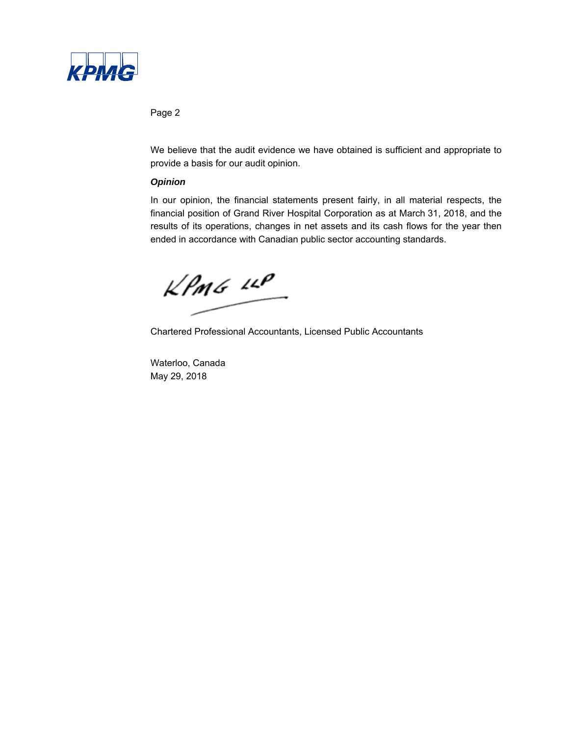

### Page 2

We believe that the audit evidence we have obtained is sufficient and appropriate to provide a basis for our audit opinion.

### *Opinion*

In our opinion, the financial statements present fairly, in all material respects, the financial position of Grand River Hospital Corporation as at March 31, 2018, and the results of its operations, changes in net assets and its cash flows for the year then ended in accordance with Canadian public sector accounting standards.

 $k$ *PmG*  $44$ 

Chartered Professional Accountants, Licensed Public Accountants

Waterloo, Canada May 29, 2018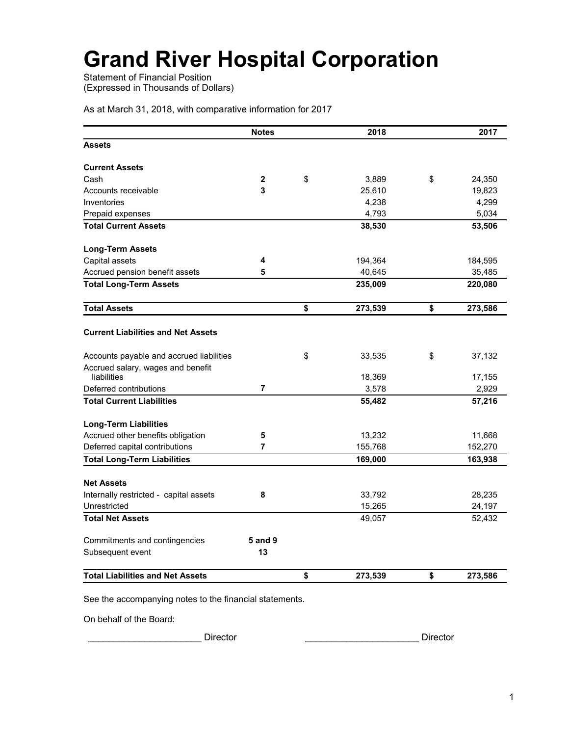Statement of Financial Position (Expressed in Thousands of Dollars)

As at March 31, 2018, with comparative information for 2017

|                                                  | <b>Notes</b>   | 2018          | 2017          |
|--------------------------------------------------|----------------|---------------|---------------|
| <b>Assets</b>                                    |                |               |               |
| <b>Current Assets</b>                            |                |               |               |
| Cash                                             | $\mathbf{2}$   | \$<br>3,889   | \$<br>24,350  |
| Accounts receivable                              | 3              | 25,610        | 19,823        |
| Inventories                                      |                | 4,238         | 4,299         |
| Prepaid expenses                                 |                | 4,793         | 5,034         |
| <b>Total Current Assets</b>                      |                | 38,530        | 53,506        |
| <b>Long-Term Assets</b>                          |                |               |               |
| Capital assets                                   | 4              | 194,364       | 184,595       |
| Accrued pension benefit assets                   | 5              | 40,645        | 35,485        |
| <b>Total Long-Term Assets</b>                    |                | 235,009       | 220,080       |
| <b>Total Assets</b>                              |                | \$<br>273,539 | \$<br>273,586 |
| <b>Current Liabilities and Net Assets</b>        |                |               |               |
| Accounts payable and accrued liabilities         |                | \$<br>33,535  | \$<br>37,132  |
| Accrued salary, wages and benefit<br>liabilities |                | 18,369        | 17,155        |
| Deferred contributions                           | 7              | 3,578         | 2,929         |
| <b>Total Current Liabilities</b>                 |                | 55,482        | 57,216        |
| <b>Long-Term Liabilities</b>                     |                |               |               |
| Accrued other benefits obligation                | 5              | 13,232        | 11,668        |
| Deferred capital contributions                   | 7              | 155,768       | 152,270       |
| <b>Total Long-Term Liabilities</b>               |                | 169,000       | 163,938       |
| <b>Net Assets</b>                                |                |               |               |
| Internally restricted - capital assets           | 8              | 33,792        | 28,235        |
| Unrestricted                                     |                | 15,265        | 24,197        |
| <b>Total Net Assets</b>                          |                | 49,057        | 52,432        |
| Commitments and contingencies                    | <b>5 and 9</b> |               |               |
| Subsequent event                                 | 13             |               |               |
| <b>Total Liabilities and Net Assets</b>          |                | \$<br>273,539 | \$<br>273,586 |

See the accompanying notes to the financial statements.

On behalf of the Board:

\_\_\_\_\_\_\_\_\_\_\_\_\_\_\_\_\_\_\_\_\_\_ Director \_\_\_\_\_\_\_\_\_\_\_\_\_\_\_\_\_\_\_\_\_\_ Director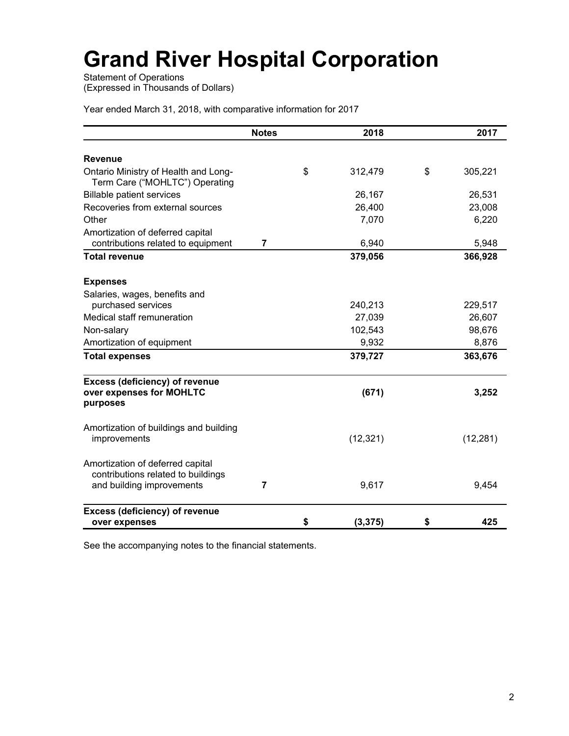Statement of Operations (Expressed in Thousands of Dollars)

Year ended March 31, 2018, with comparative information for 2017

|                                                                                                     | <b>Notes</b>   | 2018           | 2017          |
|-----------------------------------------------------------------------------------------------------|----------------|----------------|---------------|
| <b>Revenue</b>                                                                                      |                |                |               |
| Ontario Ministry of Health and Long-<br>Term Care ("MOHLTC") Operating                              |                | \$<br>312,479  | \$<br>305,221 |
| <b>Billable patient services</b>                                                                    |                | 26,167         | 26,531        |
| Recoveries from external sources                                                                    |                | 26,400         | 23,008        |
| Other                                                                                               |                | 7,070          | 6,220         |
| Amortization of deferred capital<br>contributions related to equipment                              | $\overline{7}$ | 6,940          | 5,948         |
| <b>Total revenue</b>                                                                                |                | 379,056        | 366,928       |
| <b>Expenses</b>                                                                                     |                |                |               |
| Salaries, wages, benefits and                                                                       |                |                |               |
| purchased services                                                                                  |                | 240,213        | 229,517       |
| Medical staff remuneration                                                                          |                | 27,039         | 26,607        |
| Non-salary                                                                                          |                | 102,543        | 98,676        |
| Amortization of equipment                                                                           |                | 9,932          | 8,876         |
| <b>Total expenses</b>                                                                               |                | 379,727        | 363,676       |
| <b>Excess (deficiency) of revenue</b><br>over expenses for MOHLTC<br>purposes                       |                | (671)          | 3,252         |
| Amortization of buildings and building<br>improvements                                              |                | (12, 321)      | (12, 281)     |
| Amortization of deferred capital<br>contributions related to buildings<br>and building improvements | 7              | 9,617          | 9,454         |
| <b>Excess (deficiency) of revenue</b><br>over expenses                                              |                | \$<br>(3, 375) | \$<br>425     |

See the accompanying notes to the financial statements.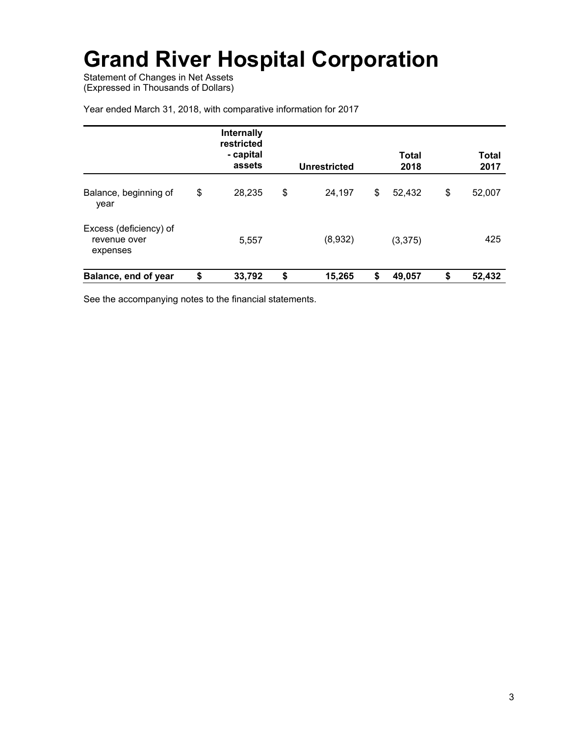Statement of Changes in Net Assets (Expressed in Thousands of Dollars)

|                                                    | <b>Internally</b><br>restricted<br>- capital<br>assets | Unrestricted | <b>Total</b><br>2018 | Total<br>2017 |
|----------------------------------------------------|--------------------------------------------------------|--------------|----------------------|---------------|
| Balance, beginning of<br>year                      | \$<br>28,235                                           | \$<br>24,197 | \$<br>52,432         | \$<br>52,007  |
| Excess (deficiency) of<br>revenue over<br>expenses | 5,557                                                  | (8,932)      | (3,375)              | 425           |
| Balance, end of year                               | \$<br>33,792                                           | \$<br>15,265 | \$<br>49,057         | \$<br>52,432  |

Year ended March 31, 2018, with comparative information for 2017

See the accompanying notes to the financial statements.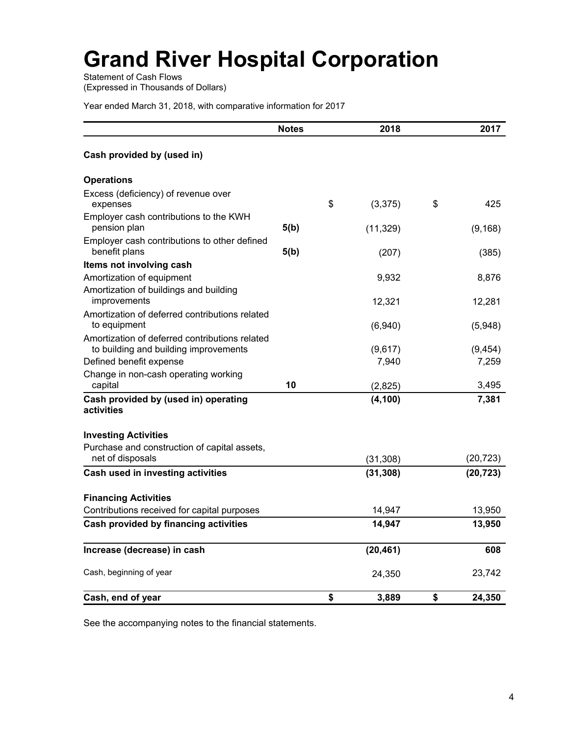Statement of Cash Flows (Expressed in Thousands of Dollars)

Year ended March 31, 2018, with comparative information for 2017

|                                                                                         | <b>Notes</b> | 2018           | 2017         |
|-----------------------------------------------------------------------------------------|--------------|----------------|--------------|
| Cash provided by (used in)                                                              |              |                |              |
| <b>Operations</b>                                                                       |              |                |              |
| Excess (deficiency) of revenue over<br>expenses                                         |              | \$<br>(3, 375) | \$<br>425    |
| Employer cash contributions to the KWH<br>pension plan                                  | 5(b)         | (11, 329)      | (9, 168)     |
| Employer cash contributions to other defined<br>benefit plans                           | 5(b)         | (207)          | (385)        |
| Items not involving cash                                                                |              |                |              |
| Amortization of equipment                                                               |              | 9,932          | 8,876        |
| Amortization of buildings and building<br>improvements                                  |              | 12,321         | 12,281       |
| Amortization of deferred contributions related<br>to equipment                          |              | (6,940)        | (5,948)      |
| Amortization of deferred contributions related<br>to building and building improvements |              | (9,617)        | (9, 454)     |
| Defined benefit expense                                                                 |              | 7,940          | 7,259        |
| Change in non-cash operating working<br>capital                                         | 10           | (2,825)        | 3,495        |
| Cash provided by (used in) operating<br>activities                                      |              | (4, 100)       | 7,381        |
| <b>Investing Activities</b>                                                             |              |                |              |
| Purchase and construction of capital assets,                                            |              |                |              |
| net of disposals                                                                        |              | (31, 308)      | (20, 723)    |
| Cash used in investing activities                                                       |              | (31, 308)      | (20, 723)    |
| <b>Financing Activities</b>                                                             |              |                |              |
| Contributions received for capital purposes                                             |              | 14,947         | 13,950       |
| Cash provided by financing activities                                                   |              | 14,947         | 13,950       |
| Increase (decrease) in cash                                                             |              | (20, 461)      | 608          |
| Cash, beginning of year                                                                 |              | 24,350         | 23,742       |
| Cash, end of year                                                                       |              | \$<br>3,889    | \$<br>24,350 |

See the accompanying notes to the financial statements.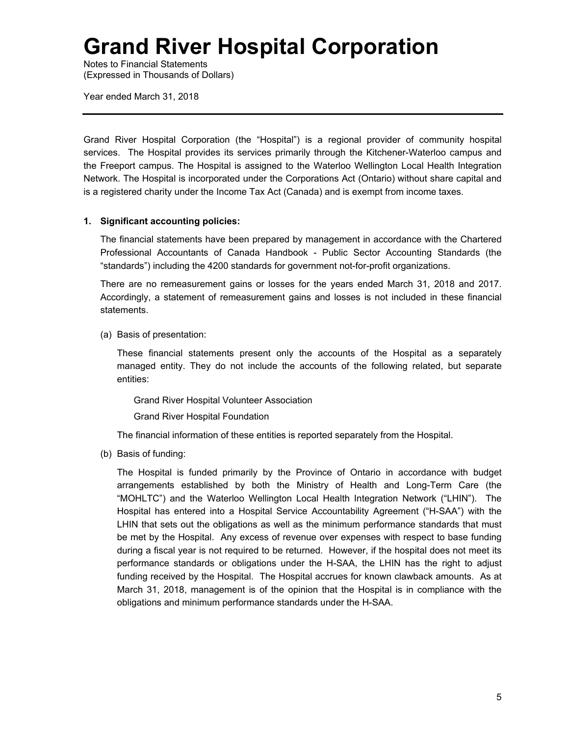Notes to Financial Statements (Expressed in Thousands of Dollars)

Year ended March 31, 2018

Grand River Hospital Corporation (the "Hospital") is a regional provider of community hospital services. The Hospital provides its services primarily through the Kitchener-Waterloo campus and the Freeport campus. The Hospital is assigned to the Waterloo Wellington Local Health Integration Network. The Hospital is incorporated under the Corporations Act (Ontario) without share capital and is a registered charity under the Income Tax Act (Canada) and is exempt from income taxes.

## **1. Significant accounting policies:**

The financial statements have been prepared by management in accordance with the Chartered Professional Accountants of Canada Handbook - Public Sector Accounting Standards (the "standards") including the 4200 standards for government not-for-profit organizations.

There are no remeasurement gains or losses for the years ended March 31, 2018 and 2017. Accordingly, a statement of remeasurement gains and losses is not included in these financial statements.

(a) Basis of presentation:

These financial statements present only the accounts of the Hospital as a separately managed entity. They do not include the accounts of the following related, but separate entities:

Grand River Hospital Volunteer Association

Grand River Hospital Foundation

The financial information of these entities is reported separately from the Hospital.

(b) Basis of funding:

The Hospital is funded primarily by the Province of Ontario in accordance with budget arrangements established by both the Ministry of Health and Long-Term Care (the "MOHLTC") and the Waterloo Wellington Local Health Integration Network ("LHIN"). The Hospital has entered into a Hospital Service Accountability Agreement ("H-SAA") with the LHIN that sets out the obligations as well as the minimum performance standards that must be met by the Hospital. Any excess of revenue over expenses with respect to base funding during a fiscal year is not required to be returned. However, if the hospital does not meet its performance standards or obligations under the H-SAA, the LHIN has the right to adjust funding received by the Hospital. The Hospital accrues for known clawback amounts. As at March 31, 2018, management is of the opinion that the Hospital is in compliance with the obligations and minimum performance standards under the H-SAA.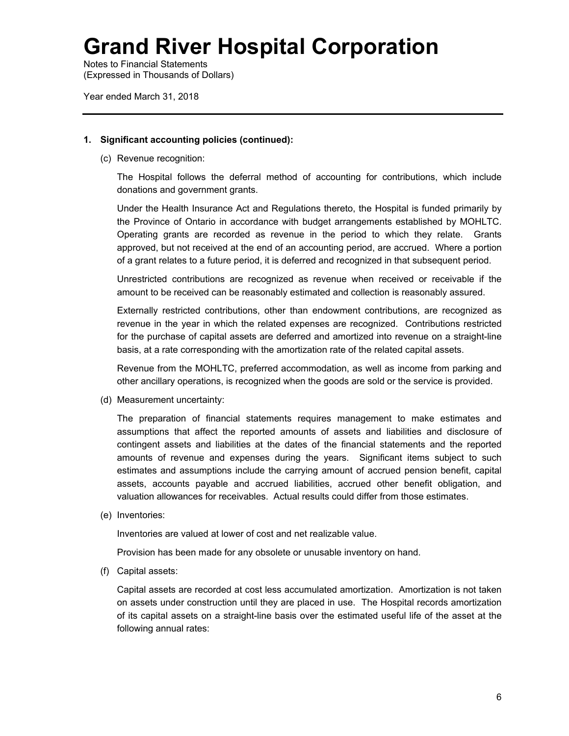Notes to Financial Statements (Expressed in Thousands of Dollars)

Year ended March 31, 2018

### **1. Significant accounting policies (continued):**

(c) Revenue recognition:

The Hospital follows the deferral method of accounting for contributions, which include donations and government grants.

Under the Health Insurance Act and Regulations thereto, the Hospital is funded primarily by the Province of Ontario in accordance with budget arrangements established by MOHLTC. Operating grants are recorded as revenue in the period to which they relate. Grants approved, but not received at the end of an accounting period, are accrued. Where a portion of a grant relates to a future period, it is deferred and recognized in that subsequent period.

Unrestricted contributions are recognized as revenue when received or receivable if the amount to be received can be reasonably estimated and collection is reasonably assured.

Externally restricted contributions, other than endowment contributions, are recognized as revenue in the year in which the related expenses are recognized. Contributions restricted for the purchase of capital assets are deferred and amortized into revenue on a straight-line basis, at a rate corresponding with the amortization rate of the related capital assets.

Revenue from the MOHLTC, preferred accommodation, as well as income from parking and other ancillary operations, is recognized when the goods are sold or the service is provided.

(d) Measurement uncertainty:

The preparation of financial statements requires management to make estimates and assumptions that affect the reported amounts of assets and liabilities and disclosure of contingent assets and liabilities at the dates of the financial statements and the reported amounts of revenue and expenses during the years. Significant items subject to such estimates and assumptions include the carrying amount of accrued pension benefit, capital assets, accounts payable and accrued liabilities, accrued other benefit obligation, and valuation allowances for receivables. Actual results could differ from those estimates.

(e) Inventories:

Inventories are valued at lower of cost and net realizable value.

Provision has been made for any obsolete or unusable inventory on hand.

(f) Capital assets:

Capital assets are recorded at cost less accumulated amortization. Amortization is not taken on assets under construction until they are placed in use. The Hospital records amortization of its capital assets on a straight-line basis over the estimated useful life of the asset at the following annual rates: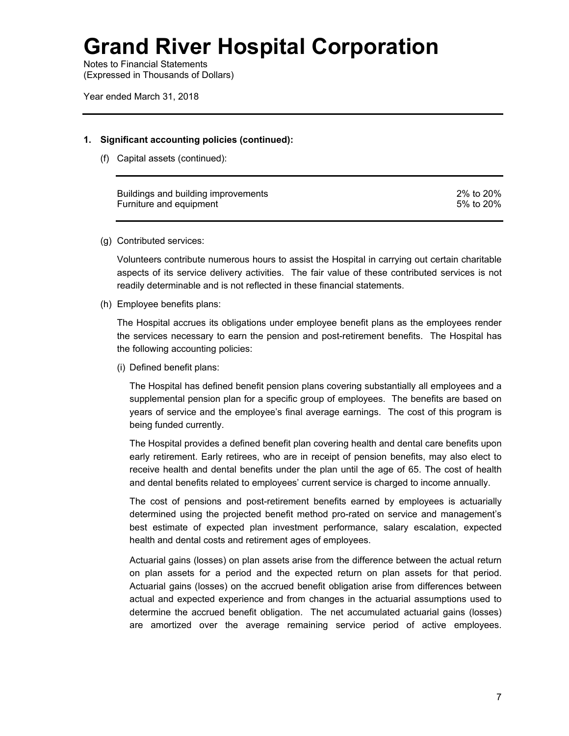Notes to Financial Statements (Expressed in Thousands of Dollars)

Year ended March 31, 2018

### **1. Significant accounting policies (continued):**

(f) Capital assets (continued):

| Buildings and building improvements | 2% to 20% |
|-------------------------------------|-----------|
| Furniture and equipment             | 5% to 20% |

### (g) Contributed services:

Volunteers contribute numerous hours to assist the Hospital in carrying out certain charitable aspects of its service delivery activities. The fair value of these contributed services is not readily determinable and is not reflected in these financial statements.

(h) Employee benefits plans:

The Hospital accrues its obligations under employee benefit plans as the employees render the services necessary to earn the pension and post-retirement benefits. The Hospital has the following accounting policies:

(i) Defined benefit plans:

The Hospital has defined benefit pension plans covering substantially all employees and a supplemental pension plan for a specific group of employees. The benefits are based on years of service and the employee's final average earnings. The cost of this program is being funded currently.

The Hospital provides a defined benefit plan covering health and dental care benefits upon early retirement. Early retirees, who are in receipt of pension benefits, may also elect to receive health and dental benefits under the plan until the age of 65. The cost of health and dental benefits related to employees' current service is charged to income annually.

The cost of pensions and post-retirement benefits earned by employees is actuarially determined using the projected benefit method pro-rated on service and management's best estimate of expected plan investment performance, salary escalation, expected health and dental costs and retirement ages of employees.

 Actuarial gains (losses) on plan assets arise from the difference between the actual return on plan assets for a period and the expected return on plan assets for that period. Actuarial gains (losses) on the accrued benefit obligation arise from differences between actual and expected experience and from changes in the actuarial assumptions used to determine the accrued benefit obligation. The net accumulated actuarial gains (losses) are amortized over the average remaining service period of active employees.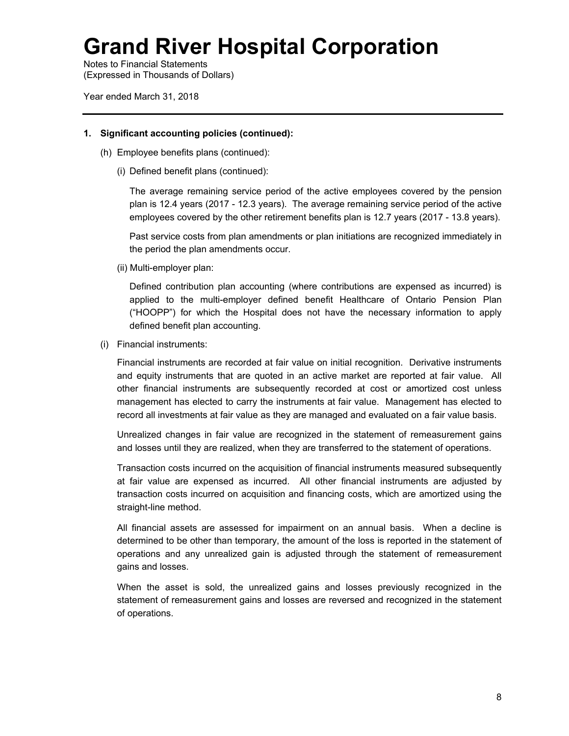Notes to Financial Statements (Expressed in Thousands of Dollars)

Year ended March 31, 2018

### **1. Significant accounting policies (continued):**

- (h) Employee benefits plans (continued):
	- (i) Defined benefit plans (continued):

The average remaining service period of the active employees covered by the pension plan is 12.4 years (2017 - 12.3 years). The average remaining service period of the active employees covered by the other retirement benefits plan is 12.7 years (2017 - 13.8 years).

Past service costs from plan amendments or plan initiations are recognized immediately in the period the plan amendments occur.

(ii) Multi-employer plan:

Defined contribution plan accounting (where contributions are expensed as incurred) is applied to the multi-employer defined benefit Healthcare of Ontario Pension Plan ("HOOPP") for which the Hospital does not have the necessary information to apply defined benefit plan accounting.

(i) Financial instruments:

Financial instruments are recorded at fair value on initial recognition. Derivative instruments and equity instruments that are quoted in an active market are reported at fair value. All other financial instruments are subsequently recorded at cost or amortized cost unless management has elected to carry the instruments at fair value. Management has elected to record all investments at fair value as they are managed and evaluated on a fair value basis.

Unrealized changes in fair value are recognized in the statement of remeasurement gains and losses until they are realized, when they are transferred to the statement of operations.

Transaction costs incurred on the acquisition of financial instruments measured subsequently at fair value are expensed as incurred. All other financial instruments are adjusted by transaction costs incurred on acquisition and financing costs, which are amortized using the straight-line method.

All financial assets are assessed for impairment on an annual basis. When a decline is determined to be other than temporary, the amount of the loss is reported in the statement of operations and any unrealized gain is adjusted through the statement of remeasurement gains and losses.

When the asset is sold, the unrealized gains and losses previously recognized in the statement of remeasurement gains and losses are reversed and recognized in the statement of operations.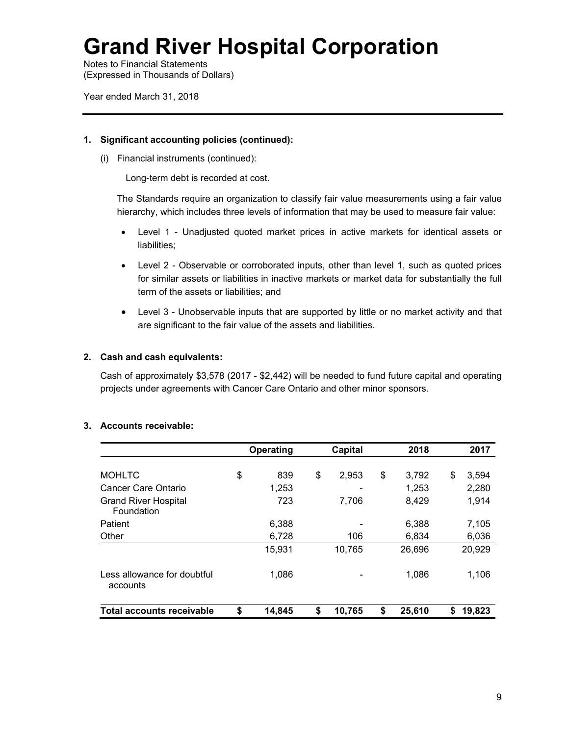Notes to Financial Statements (Expressed in Thousands of Dollars)

Year ended March 31, 2018

## **1. Significant accounting policies (continued):**

(i) Financial instruments (continued):

Long-term debt is recorded at cost.

The Standards require an organization to classify fair value measurements using a fair value hierarchy, which includes three levels of information that may be used to measure fair value:

- Level 1 Unadjusted quoted market prices in active markets for identical assets or liabilities;
- Level 2 Observable or corroborated inputs, other than level 1, such as quoted prices for similar assets or liabilities in inactive markets or market data for substantially the full term of the assets or liabilities; and
- Level 3 Unobservable inputs that are supported by little or no market activity and that are significant to the fair value of the assets and liabilities.

## **2. Cash and cash equivalents:**

Cash of approximately \$3,578 (2017 - \$2,442) will be needed to fund future capital and operating projects under agreements with Cancer Care Ontario and other minor sponsors.

|                                           | Operating |        | <b>Capital</b> | 2018         |    | 2017   |  |
|-------------------------------------------|-----------|--------|----------------|--------------|----|--------|--|
|                                           |           |        |                |              |    |        |  |
| <b>MOHLTC</b>                             | \$        | 839    | \$<br>2,953    | \$<br>3,792  | \$ | 3,594  |  |
| Cancer Care Ontario                       |           | 1,253  | -              | 1,253        |    | 2,280  |  |
| <b>Grand River Hospital</b><br>Foundation |           | 723    | 7,706          | 8,429        |    | 1,914  |  |
| Patient                                   |           | 6,388  |                | 6,388        |    | 7,105  |  |
| Other                                     |           | 6,728  | 106            | 6,834        |    | 6,036  |  |
|                                           |           | 15,931 | 10,765         | 26,696       |    | 20,929 |  |
| Less allowance for doubtful<br>accounts   |           | 1,086  |                | 1,086        |    | 1,106  |  |
| <b>Total accounts receivable</b>          | \$        | 14,845 | \$<br>10.765   | \$<br>25,610 | \$ | 19,823 |  |

#### **3. Accounts receivable:**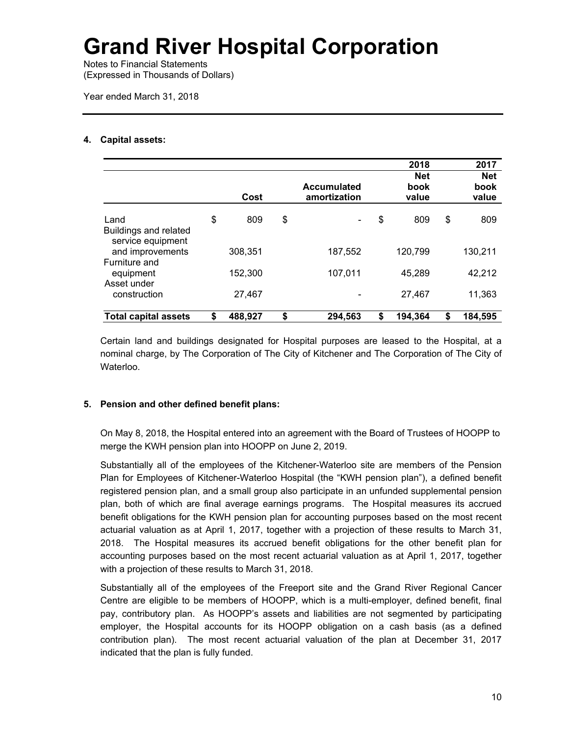Notes to Financial Statements (Expressed in Thousands of Dollars)

Year ended March 31, 2018

## **4. Capital assets:**

|                                                    |               |                                    | 2018<br><b>Net</b> | 2017<br><b>Net</b> |
|----------------------------------------------------|---------------|------------------------------------|--------------------|--------------------|
|                                                    | Cost          | <b>Accumulated</b><br>amortization | book<br>value      | book<br>value      |
| Land<br>Buildings and related<br>service equipment | \$<br>809     | \$                                 | \$<br>809          | \$<br>809          |
| and improvements<br>Furniture and                  | 308,351       | 187,552                            | 120,799            | 130,211            |
| equipment<br>Asset under                           | 152,300       | 107,011                            | 45,289             | 42,212             |
| construction                                       | 27,467        |                                    | 27,467             | 11,363             |
| <b>Total capital assets</b>                        | \$<br>488,927 | \$<br>294.563                      | \$<br>194,364      | \$<br>184,595      |

Certain land and buildings designated for Hospital purposes are leased to the Hospital, at a nominal charge, by The Corporation of The City of Kitchener and The Corporation of The City of Waterloo.

## **5. Pension and other defined benefit plans:**

On May 8, 2018, the Hospital entered into an agreement with the Board of Trustees of HOOPP to merge the KWH pension plan into HOOPP on June 2, 2019.

Substantially all of the employees of the Kitchener-Waterloo site are members of the Pension Plan for Employees of Kitchener-Waterloo Hospital (the "KWH pension plan"), a defined benefit registered pension plan, and a small group also participate in an unfunded supplemental pension plan, both of which are final average earnings programs. The Hospital measures its accrued benefit obligations for the KWH pension plan for accounting purposes based on the most recent actuarial valuation as at April 1, 2017, together with a projection of these results to March 31, 2018. The Hospital measures its accrued benefit obligations for the other benefit plan for accounting purposes based on the most recent actuarial valuation as at April 1, 2017, together with a projection of these results to March 31, 2018.

Substantially all of the employees of the Freeport site and the Grand River Regional Cancer Centre are eligible to be members of HOOPP, which is a multi-employer, defined benefit, final pay, contributory plan. As HOOPP's assets and liabilities are not segmented by participating employer, the Hospital accounts for its HOOPP obligation on a cash basis (as a defined contribution plan). The most recent actuarial valuation of the plan at December 31, 2017 indicated that the plan is fully funded.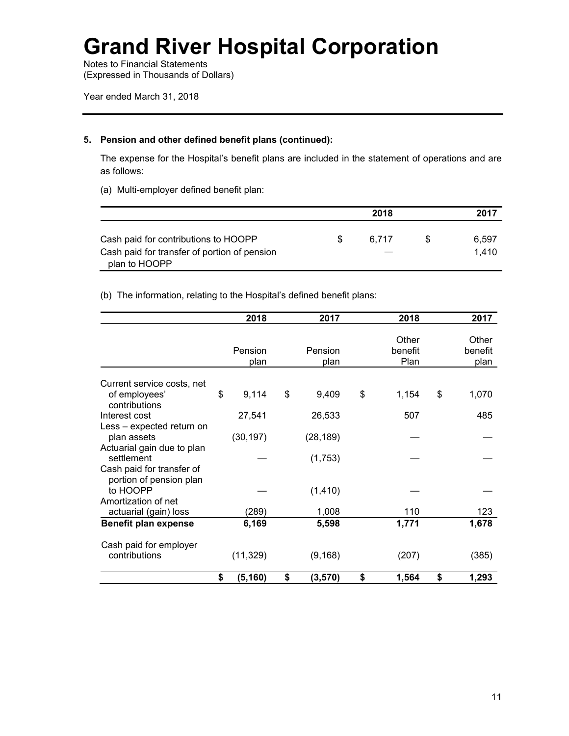Notes to Financial Statements (Expressed in Thousands of Dollars)

Year ended March 31, 2018

## **5. Pension and other defined benefit plans (continued):**

The expense for the Hospital's benefit plans are included in the statement of operations and are as follows:

(a) Multi-employer defined benefit plan:

|                                                               |    | 2018  | 2017  |
|---------------------------------------------------------------|----|-------|-------|
| Cash paid for contributions to HOOPP                          | S. | 6.717 | 6.597 |
| Cash paid for transfer of portion of pension<br>plan to HOOPP |    |       | 1.410 |

## (b) The information, relating to the Hospital's defined benefit plans:

|                                                                                | 2018            | 2017                | 2018                     | 2017                     |
|--------------------------------------------------------------------------------|-----------------|---------------------|--------------------------|--------------------------|
|                                                                                | Pension<br>plan | Pension<br>plan     | Other<br>benefit<br>Plan | Other<br>benefit<br>plan |
| Current service costs, net<br>of employees'<br>contributions                   | \$<br>9,114     | \$<br>9,409         | \$<br>1,154              | \$<br>1,070              |
| Interest cost                                                                  | 27,541          | 26,533              | 507                      | 485                      |
| Less - expected return on<br>plan assets<br>Actuarial gain due to plan         | (30, 197)       | (28, 189)           |                          |                          |
| settlement<br>Cash paid for transfer of<br>portion of pension plan<br>to HOOPP |                 | (1,753)<br>(1, 410) |                          |                          |
| Amortization of net<br>actuarial (gain) loss                                   | (289)           | 1,008               | 110                      | 123                      |
| <b>Benefit plan expense</b>                                                    | 6,169           | 5,598               | 1,771                    | 1,678                    |
| Cash paid for employer<br>contributions                                        | (11, 329)       | (9, 168)            | (207)                    | (385)                    |
|                                                                                | \$<br>(5, 160)  | \$<br>(3,570)       | \$<br>1,564              | \$<br>1,293              |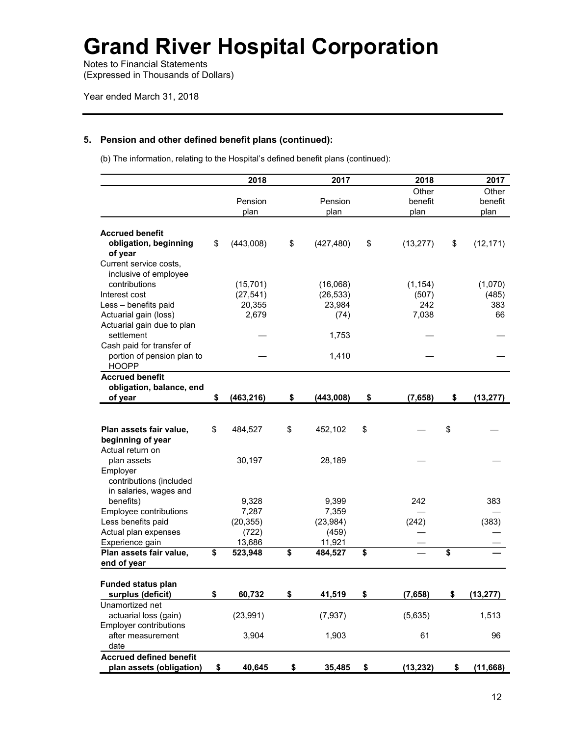Notes to Financial Statements (Expressed in Thousands of Dollars)

## **5. Pension and other defined benefit plans (continued):**

(b) The information, relating to the Hospital's defined benefit plans (continued):

|                                | 2018             | 2017             | 2018            | 2017            |
|--------------------------------|------------------|------------------|-----------------|-----------------|
|                                |                  |                  | Other           | Other           |
|                                | Pension          | Pension          | benefit         | benefit         |
|                                | plan             | plan             | plan            | plan            |
|                                |                  |                  |                 |                 |
| <b>Accrued benefit</b>         |                  |                  |                 |                 |
| obligation, beginning          | \$<br>(443,008)  | \$<br>(427, 480) | \$<br>(13, 277) | \$<br>(12, 171) |
| of year                        |                  |                  |                 |                 |
| Current service costs,         |                  |                  |                 |                 |
| inclusive of employee          |                  |                  |                 |                 |
| contributions                  | (15, 701)        | (16,068)         | (1, 154)        | (1,070)         |
| Interest cost                  | (27, 541)        | (26, 533)        | (507)           | (485)           |
| Less - benefits paid           | 20,355           | 23,984           | 242             | 383             |
| Actuarial gain (loss)          | 2,679            | (74)             | 7,038           | 66              |
| Actuarial gain due to plan     |                  |                  |                 |                 |
| settlement                     |                  | 1,753            |                 |                 |
| Cash paid for transfer of      |                  |                  |                 |                 |
| portion of pension plan to     |                  | 1,410            |                 |                 |
| <b>HOOPP</b>                   |                  |                  |                 |                 |
| <b>Accrued benefit</b>         |                  |                  |                 |                 |
| obligation, balance, end       |                  |                  |                 |                 |
| of year                        | \$<br>(463, 216) | \$<br>(443,008)  | \$<br>(7,658)   | \$<br>(13, 277) |
|                                |                  |                  |                 |                 |
|                                |                  |                  |                 |                 |
| Plan assets fair value,        | \$<br>484,527    | \$<br>452,102    | \$              | \$              |
| beginning of year              |                  |                  |                 |                 |
| Actual return on               |                  |                  |                 |                 |
| plan assets                    | 30,197           | 28,189           |                 |                 |
| Employer                       |                  |                  |                 |                 |
| contributions (included        |                  |                  |                 |                 |
| in salaries, wages and         |                  |                  |                 |                 |
| benefits)                      | 9,328            | 9,399            | 242             | 383             |
| Employee contributions         | 7,287            | 7,359            |                 |                 |
| Less benefits paid             | (20, 355)        | (23, 984)        | (242)           | (383)           |
| Actual plan expenses           | (722)            | (459)            |                 |                 |
| Experience gain                | 13,686           | 11,921           |                 |                 |
| Plan assets fair value,        | \$<br>523,948    | \$<br>484,527    | \$              | \$              |
| end of year                    |                  |                  |                 |                 |
|                                |                  |                  |                 |                 |
| <b>Funded status plan</b>      |                  |                  |                 |                 |
| surplus (deficit)              | \$<br>60,732     | \$<br>41,519     | \$<br>(7,658)   | \$<br>(13, 277) |
| Unamortized net                |                  |                  |                 |                 |
| actuarial loss (gain)          | (23, 991)        | (7, 937)         | (5,635)         | 1,513           |
| Employer contributions         |                  |                  |                 |                 |
| after measurement              | 3,904            | 1,903            | 61              | 96              |
| date                           |                  |                  |                 |                 |
| <b>Accrued defined benefit</b> |                  |                  |                 |                 |
| plan assets (obligation)       | \$<br>40,645     | \$<br>35,485     | \$<br>(13, 232) | \$<br>(11,668)  |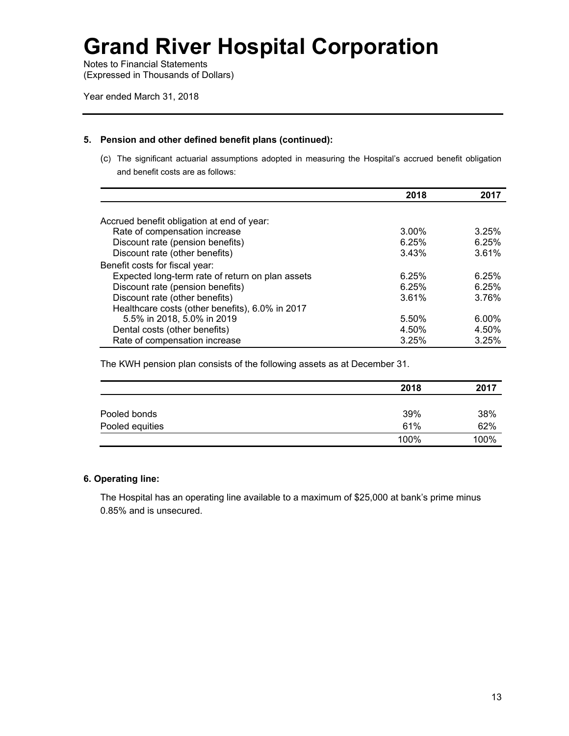Notes to Financial Statements (Expressed in Thousands of Dollars)

Year ended March 31, 2018

### **5. Pension and other defined benefit plans (continued):**

(c) The significant actuarial assumptions adopted in measuring the Hospital's accrued benefit obligation and benefit costs are as follows:

|                                                  | 2018  | 2017     |
|--------------------------------------------------|-------|----------|
|                                                  |       |          |
| Accrued benefit obligation at end of year:       |       |          |
| Rate of compensation increase                    | 3.00% | 3.25%    |
| Discount rate (pension benefits)                 | 6.25% | 6.25%    |
| Discount rate (other benefits)                   | 3.43% | 3.61%    |
| Benefit costs for fiscal year:                   |       |          |
| Expected long-term rate of return on plan assets | 6.25% | 6.25%    |
| Discount rate (pension benefits)                 | 6.25% | 6.25%    |
| Discount rate (other benefits)                   | 3.61% | 3.76%    |
| Healthcare costs (other benefits), 6.0% in 2017  |       |          |
| 5.5% in 2018, 5.0% in 2019                       | 5.50% | $6.00\%$ |
| Dental costs (other benefits)                    | 4.50% | 4.50%    |
| Rate of compensation increase                    | 3.25% | 3.25%    |

The KWH pension plan consists of the following assets as at December 31.

|                 | 2018 | 2017 |
|-----------------|------|------|
|                 |      |      |
| Pooled bonds    | 39%  | 38%  |
| Pooled equities | 61%  | 62%  |
|                 | 100% | 100% |

## **6. Operating line:**

The Hospital has an operating line available to a maximum of \$25,000 at bank's prime minus 0.85% and is unsecured.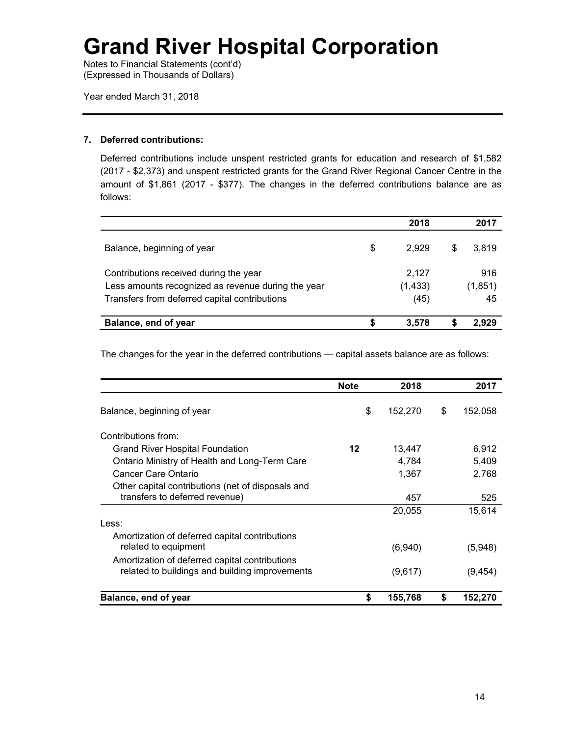Notes to Financial Statements (cont'd) (Expressed in Thousands of Dollars)

Year ended March 31, 2018

## **7. Deferred contributions:**

Deferred contributions include unspent restricted grants for education and research of \$1,582 (2017 - \$2,373) and unspent restricted grants for the Grand River Regional Cancer Centre in the amount of \$1,861 (2017 - \$377). The changes in the deferred contributions balance are as follows:

|                                                                                                                                               |   | 2018                      |   | 2017                 |
|-----------------------------------------------------------------------------------------------------------------------------------------------|---|---------------------------|---|----------------------|
| Balance, beginning of year                                                                                                                    | S | 2.929                     | S | 3,819                |
| Contributions received during the year<br>Less amounts recognized as revenue during the year<br>Transfers from deferred capital contributions |   | 2.127<br>(1, 433)<br>(45) |   | 916<br>(1,851)<br>45 |
| Balance, end of year                                                                                                                          |   | 3.578                     |   | 2.929                |

The changes for the year in the deferred contributions — capital assets balance are as follows:

|                                                   | <b>Note</b> | 2018    | 2017          |
|---------------------------------------------------|-------------|---------|---------------|
| Balance, beginning of year                        | \$          | 152,270 | \$<br>152,058 |
| Contributions from:                               |             |         |               |
| Grand River Hospital Foundation                   | 12          | 13,447  | 6,912         |
| Ontario Ministry of Health and Long-Term Care     |             | 4,784   | 5.409         |
| Cancer Care Ontario                               |             | 1,367   | 2,768         |
| Other capital contributions (net of disposals and |             |         |               |
| transfers to deferred revenue)                    |             | 457     | 525           |
|                                                   |             | 20,055  | 15,614        |
| Less:                                             |             |         |               |
| Amortization of deferred capital contributions    |             |         |               |
| related to equipment                              |             | (6,940) | (5,948)       |
| Amortization of deferred capital contributions    |             |         |               |
| related to buildings and building improvements    |             | (9,617) | (9, 454)      |
| Balance, end of year                              | \$          | 155,768 | \$<br>152,270 |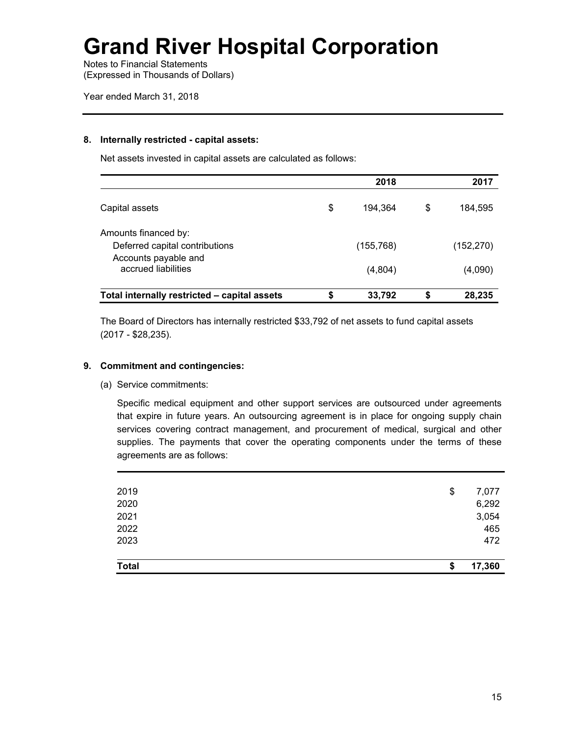Notes to Financial Statements (Expressed in Thousands of Dollars)

### **8. Internally restricted - capital assets:**

Net assets invested in capital assets are calculated as follows:

|                                                        | 2018 |            |    | 2017       |  |
|--------------------------------------------------------|------|------------|----|------------|--|
| Capital assets                                         | \$   | 194.364    | \$ | 184,595    |  |
| Amounts financed by:<br>Deferred capital contributions |      | (155, 768) |    | (152, 270) |  |
| Accounts payable and<br>accrued liabilities            |      | (4,804)    |    | (4,090)    |  |
| Total internally restricted - capital assets           | \$   | 33,792     | \$ | 28,235     |  |

The Board of Directors has internally restricted \$33,792 of net assets to fund capital assets (2017 - \$28,235).

## **9. Commitment and contingencies:**

(a) Service commitments:

Specific medical equipment and other support services are outsourced under agreements that expire in future years. An outsourcing agreement is in place for ongoing supply chain services covering contract management, and procurement of medical, surgical and other supplies. The payments that cover the operating components under the terms of these agreements are as follows:

| <b>Total</b> | S  | 17,360 |
|--------------|----|--------|
|              |    |        |
| 2023         |    | 472    |
| 2022         |    | 465    |
| 2021         |    | 3,054  |
| 2020         |    | 6,292  |
| 2019         | \$ | 7,077  |
|              |    |        |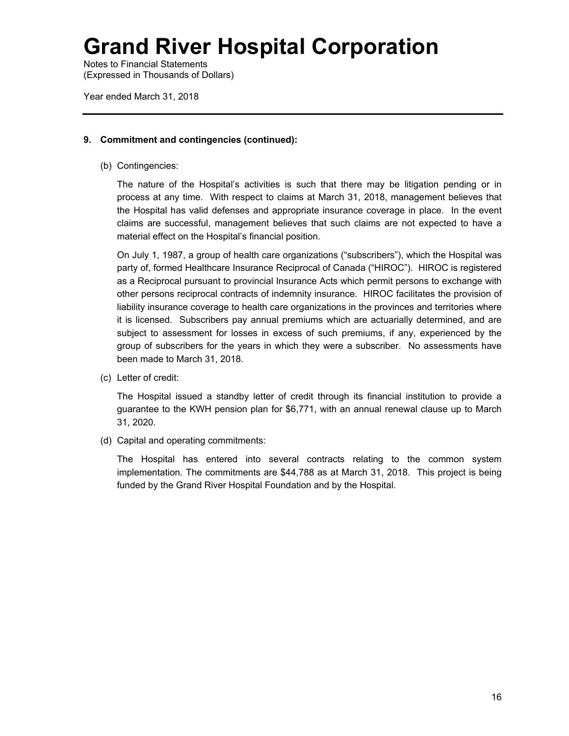Notes to Financial Statements (Expressed in Thousands of Dollars)

Year ended March 31, 2018

## **9. Commitment and contingencies (continued):**

(b) Contingencies:

The nature of the Hospital's activities is such that there may be litigation pending or in process at any time. With respect to claims at March 31, 2018, management believes that the Hospital has valid defenses and appropriate insurance coverage in place. In the event claims are successful, management believes that such claims are not expected to have a material effect on the Hospital's financial position.

On July 1, 1987, a group of health care organizations ("subscribers"), which the Hospital was party of, formed Healthcare Insurance Reciprocal of Canada ("HIROC"). HIROC is registered as a Reciprocal pursuant to provincial Insurance Acts which permit persons to exchange with other persons reciprocal contracts of indemnity insurance. HIROC facilitates the provision of liability insurance coverage to health care organizations in the provinces and territories where it is licensed. Subscribers pay annual premiums which are actuarially determined, and are subject to assessment for losses in excess of such premiums, if any, experienced by the group of subscribers for the years in which they were a subscriber. No assessments have been made to March 31, 2018.

(c) Letter of credit:

The Hospital issued a standby letter of credit through its financial institution to provide a guarantee to the KWH pension plan for \$6,771, with an annual renewal clause up to March 31, 2020.

(d) Capital and operating commitments:

The Hospital has entered into several contracts relating to the common system implementation. The commitments are \$44,788 as at March 31, 2018. This project is being funded by the Grand River Hospital Foundation and by the Hospital.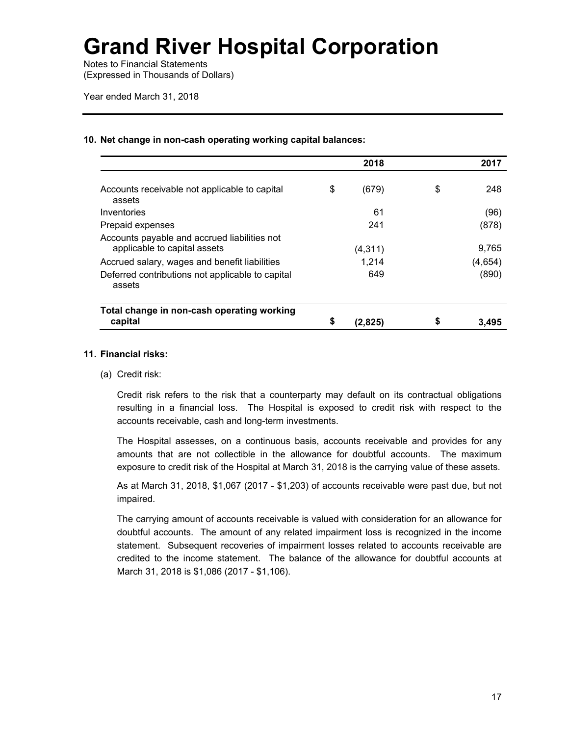Notes to Financial Statements (Expressed in Thousands of Dollars)

Year ended March 31, 2018

### **10. Net change in non-cash operating working capital balances:**

|                                                                              | 2018          | 2017        |
|------------------------------------------------------------------------------|---------------|-------------|
| Accounts receivable not applicable to capital<br>assets                      | \$<br>(679)   | \$<br>248   |
| Inventories                                                                  | 61            | (96)        |
| Prepaid expenses                                                             | 241           | (878)       |
| Accounts payable and accrued liabilities not<br>applicable to capital assets | (4, 311)      | 9.765       |
| Accrued salary, wages and benefit liabilities                                | 1,214         | (4,654)     |
| Deferred contributions not applicable to capital<br>assets                   | 649           | (890)       |
| Total change in non-cash operating working<br>capital                        | \$<br>(2,825) | \$<br>3.495 |

### **11. Financial risks:**

(a) Credit risk:

 Credit risk refers to the risk that a counterparty may default on its contractual obligations resulting in a financial loss. The Hospital is exposed to credit risk with respect to the accounts receivable, cash and long-term investments.

 The Hospital assesses, on a continuous basis, accounts receivable and provides for any amounts that are not collectible in the allowance for doubtful accounts. The maximum exposure to credit risk of the Hospital at March 31, 2018 is the carrying value of these assets.

As at March 31, 2018, \$1,067 (2017 - \$1,203) of accounts receivable were past due, but not impaired.

 The carrying amount of accounts receivable is valued with consideration for an allowance for doubtful accounts. The amount of any related impairment loss is recognized in the income statement. Subsequent recoveries of impairment losses related to accounts receivable are credited to the income statement. The balance of the allowance for doubtful accounts at March 31, 2018 is \$1,086 (2017 - \$1,106).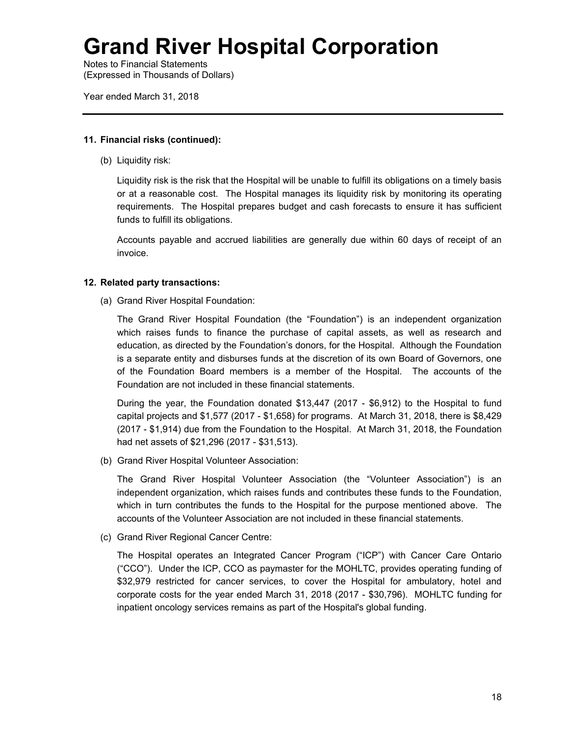Notes to Financial Statements (Expressed in Thousands of Dollars)

Year ended March 31, 2018

## **11. Financial risks (continued):**

(b) Liquidity risk:

 Liquidity risk is the risk that the Hospital will be unable to fulfill its obligations on a timely basis or at a reasonable cost. The Hospital manages its liquidity risk by monitoring its operating requirements. The Hospital prepares budget and cash forecasts to ensure it has sufficient funds to fulfill its obligations.

Accounts payable and accrued liabilities are generally due within 60 days of receipt of an invoice.

## **12. Related party transactions:**

(a) Grand River Hospital Foundation:

The Grand River Hospital Foundation (the "Foundation") is an independent organization which raises funds to finance the purchase of capital assets, as well as research and education, as directed by the Foundation's donors, for the Hospital. Although the Foundation is a separate entity and disburses funds at the discretion of its own Board of Governors, one of the Foundation Board members is a member of the Hospital. The accounts of the Foundation are not included in these financial statements.

During the year, the Foundation donated \$13,447 (2017 - \$6,912) to the Hospital to fund capital projects and \$1,577 (2017 - \$1,658) for programs. At March 31, 2018, there is \$8,429 (2017 - \$1,914) due from the Foundation to the Hospital. At March 31, 2018, the Foundation had net assets of \$21,296 (2017 - \$31,513).

(b) Grand River Hospital Volunteer Association:

The Grand River Hospital Volunteer Association (the "Volunteer Association") is an independent organization, which raises funds and contributes these funds to the Foundation, which in turn contributes the funds to the Hospital for the purpose mentioned above. The accounts of the Volunteer Association are not included in these financial statements.

(c) Grand River Regional Cancer Centre:

The Hospital operates an Integrated Cancer Program ("ICP") with Cancer Care Ontario ("CCO"). Under the ICP, CCO as paymaster for the MOHLTC, provides operating funding of \$32,979 restricted for cancer services, to cover the Hospital for ambulatory, hotel and corporate costs for the year ended March 31, 2018 (2017 - \$30,796). MOHLTC funding for inpatient oncology services remains as part of the Hospital's global funding.